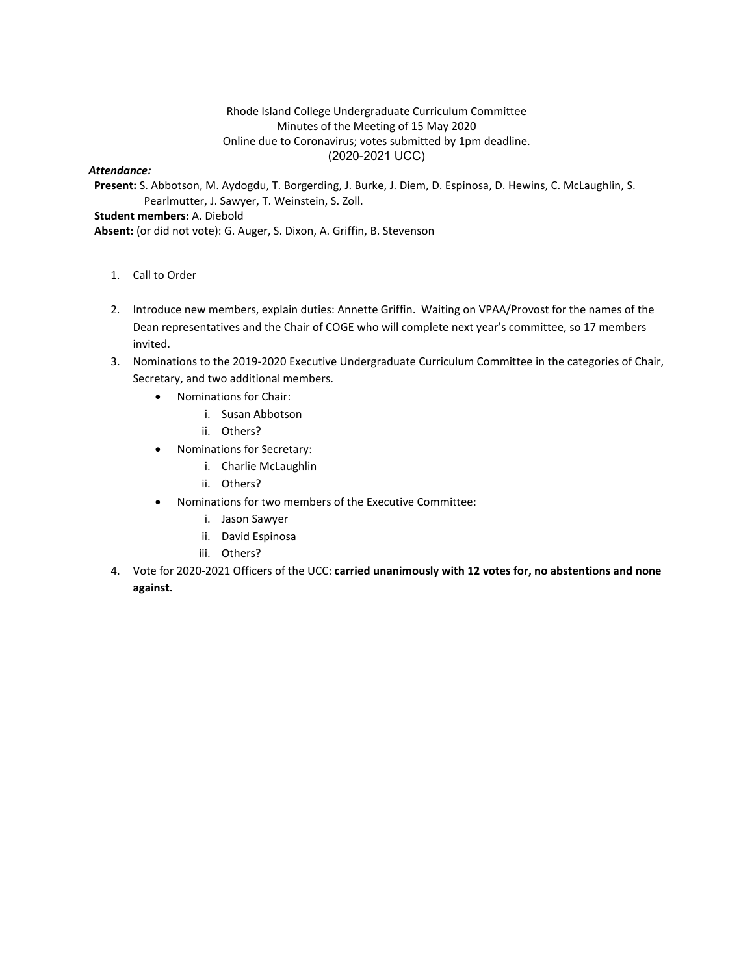## Rhode Island College Undergraduate Curriculum Committee Minutes of the Meeting of 15 May 2020 Online due to Coronavirus; votes submitted by 1pm deadline. (2020-2021 UCC)

#### *Attendance:*

**Present:** S. Abbotson, M. Aydogdu, T. Borgerding, J. Burke, J. Diem, D. Espinosa, D. Hewins, C. McLaughlin, S. Pearlmutter, J. Sawyer, T. Weinstein, S. Zoll. **Student members:** A. Diebold

- **Absent:** (or did not vote): G. Auger, S. Dixon, A. Griffin, B. Stevenson
	- 1. Call to Order
	- 2. Introduce new members, explain duties: Annette Griffin. Waiting on VPAA/Provost for the names of the Dean representatives and the Chair of COGE who will complete next year's committee, so 17 members invited.
	- 3. Nominations to the 2019-2020 Executive Undergraduate Curriculum Committee in the categories of Chair, Secretary, and two additional members.
		- Nominations for Chair:
			- i. Susan Abbotson
			- ii. Others?
		- Nominations for Secretary:
			- i. Charlie McLaughlin
			- ii. Others?
		- Nominations for two members of the Executive Committee:
			- i. Jason Sawyer
			- ii. David Espinosa
			- iii. Others?
	- 4. Vote for 2020-2021 Officers of the UCC: **carried unanimously with 12 votes for, no abstentions and none against.**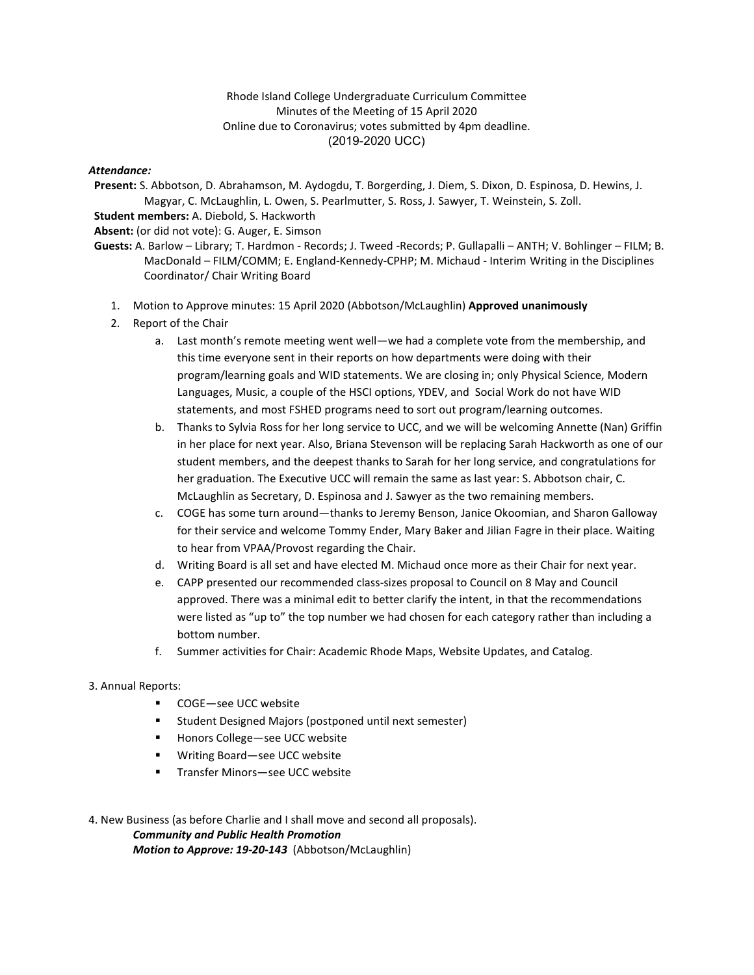### Rhode Island College Undergraduate Curriculum Committee Minutes of the Meeting of 15 April 2020 Online due to Coronavirus; votes submitted by 4pm deadline. (2019-2020 UCC)

### *Attendance:*

**Present:** S. Abbotson, D. Abrahamson, M. Aydogdu, T. Borgerding, J. Diem, S. Dixon, D. Espinosa, D. Hewins, J. Magyar, C. McLaughlin, L. Owen, S. Pearlmutter, S. Ross, J. Sawyer, T. Weinstein, S. Zoll. **Student members:** A. Diebold, S. Hackworth

**Absent:** (or did not vote): G. Auger, E. Simson

**Guests:** A. Barlow – Library; T. Hardmon - Records; J. Tweed -Records; P. Gullapalli – ANTH; V. Bohlinger – FILM; B. MacDonald – FILM/COMM; E. England-Kennedy-CPHP; M. Michaud - Interim Writing in the Disciplines Coordinator/ Chair Writing Board

- 1. Motion to Approve minutes: 15 April 2020 (Abbotson/McLaughlin) **Approved unanimously**
- 2. Report of the Chair
	- a. Last month's remote meeting went well—we had a complete vote from the membership, and this time everyone sent in their reports on how departments were doing with their program/learning goals and WID statements. We are closing in; only Physical Science, Modern Languages, Music, a couple of the HSCI options, YDEV, and Social Work do not have WID statements, and most FSHED programs need to sort out program/learning outcomes.
	- b. Thanks to Sylvia Ross for her long service to UCC, and we will be welcoming Annette (Nan) Griffin in her place for next year. Also, Briana Stevenson will be replacing Sarah Hackworth as one of our student members, and the deepest thanks to Sarah for her long service, and congratulations for her graduation. The Executive UCC will remain the same as last year: S. Abbotson chair, C. McLaughlin as Secretary, D. Espinosa and J. Sawyer as the two remaining members.
	- c. COGE has some turn around—thanks to Jeremy Benson, Janice Okoomian, and Sharon Galloway for their service and welcome Tommy Ender, Mary Baker and Jilian Fagre in their place. Waiting to hear from VPAA/Provost regarding the Chair.
	- d. Writing Board is all set and have elected M. Michaud once more as their Chair for next year.
	- e. CAPP presented our recommended class-sizes proposal to Council on 8 May and Council approved. There was a minimal edit to better clarify the intent, in that the recommendations were listed as "up to" the top number we had chosen for each category rather than including a bottom number.
	- f. Summer activities for Chair: Academic Rhode Maps, Website Updates, and Catalog.

### 3. Annual Reports:

- COGE—see UCC website
- Student Designed Majors (postponed until next semester)
- Honors College—see UCC website
- Writing Board—see UCC website
- Transfer Minors—see UCC website

4. New Business (as before Charlie and I shall move and second all proposals). *Community and Public Health Promotion Motion to Approve: 19-20-143* (Abbotson/McLaughlin)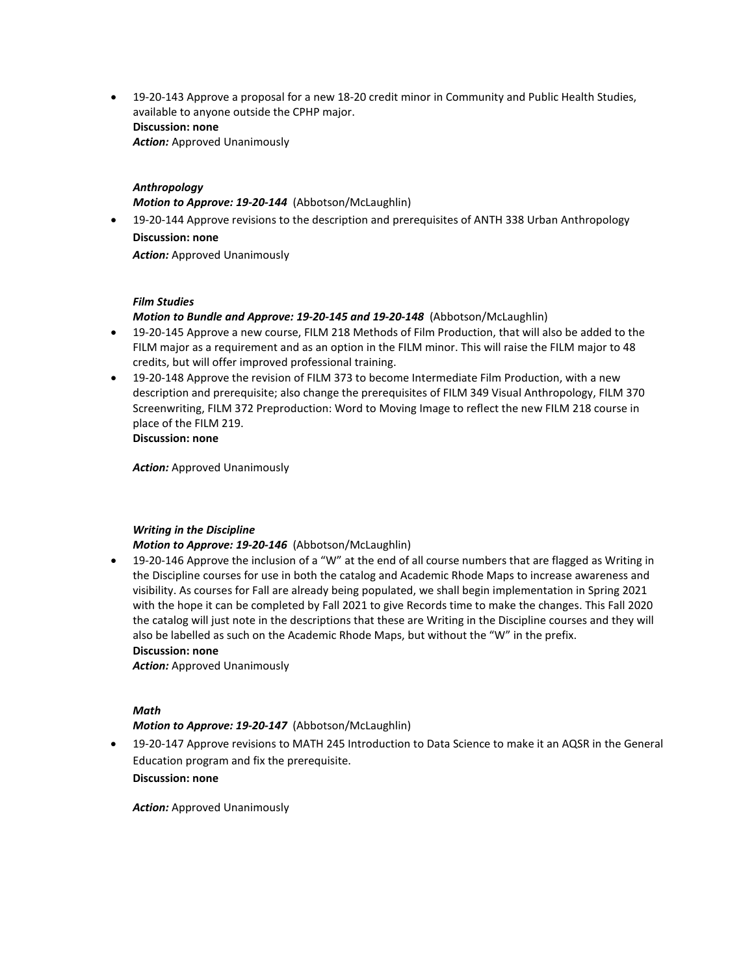• 19-20-143 Approve a proposal for a new 18-20 credit minor in Community and Public Health Studies, available to anyone outside the CPHP major. **Discussion: none** *Action:* Approved Unanimously

### *Anthropology*

*Motion to Approve: 19-20-144* (Abbotson/McLaughlin)

• 19-20-144 Approve revisions to the description and prerequisites of ANTH 338 Urban Anthropology **Discussion: none** *Action:* Approved Unanimously

### *Film Studies*

*Motion to Bundle and Approve: 19-20-145 and 19-20-148* (Abbotson/McLaughlin)

- 19-20-145 Approve a new course, FILM 218 Methods of Film Production, that will also be added to the FILM major as a requirement and as an option in the FILM minor. This will raise the FILM major to 48 credits, but will offer improved professional training.
- 19-20-148 Approve the revision of FILM 373 to become Intermediate Film Production, with a new description and prerequisite; also change the prerequisites of FILM 349 Visual Anthropology, FILM 370 Screenwriting, FILM 372 Preproduction: Word to Moving Image to reflect the new FILM 218 course in place of the FILM 219. **Discussion: none**

*Action:* Approved Unanimously

# *Writing in the Discipline*

*Motion to Approve: 19-20-146* (Abbotson/McLaughlin)

• 19-20-146 Approve the inclusion of a "W" at the end of all course numbers that are flagged as Writing in the Discipline courses for use in both the catalog and Academic Rhode Maps to increase awareness and visibility. As courses for Fall are already being populated, we shall begin implementation in Spring 2021 with the hope it can be completed by Fall 2021 to give Records time to make the changes. This Fall 2020 the catalog will just note in the descriptions that these are Writing in the Discipline courses and they will also be labelled as such on the Academic Rhode Maps, but without the "W" in the prefix. **Discussion: none**

*Action:* Approved Unanimously

### *Math*

*Motion to Approve: 19-20-147* (Abbotson/McLaughlin)

• 19-20-147 Approve revisions to MATH 245 Introduction to Data Science to make it an AQSR in the General Education program and fix the prerequisite. **Discussion: none**

*Action:* Approved Unanimously